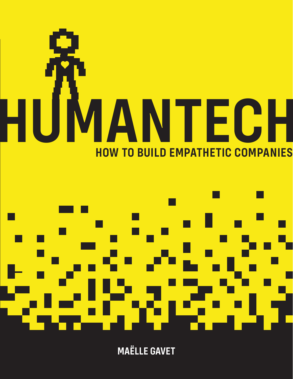



**MAËLLE GAVET**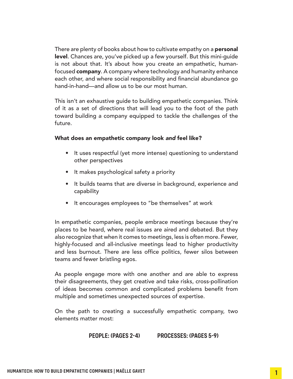There are plenty of books about how to cultivate empathy on a **personal** level. Chances are, you've picked up a few yourself. But this mini-guide is not about that. It's about how you create an empathetic, humanfocused **company**. A company where technology and humanity enhance each other, and where social responsibility and financial abundance go hand-in-hand—and allow us to be our most human.

This isn't an exhaustive guide to building empathetic companies. Think of it as a set of directions that will lead you to the foot of the path toward building a company equipped to tackle the challenges of the future.

### What does an empathetic company look *and* feel like?

- It uses respectful (yet more intense) questioning to understand other perspectives
- It makes psychological safety a priority
- It builds teams that are diverse in background, experience and capability
- It encourages employees to "be themselves" at work

In empathetic companies, people embrace meetings because they're places to be heard, where real issues are aired and debated. But they also recognize that when it comes to meetings, less is often more. Fewer, highly-focused and all-inclusive meetings lead to higher productivity and less burnout. There are less office politics, fewer silos between teams and fewer bristling egos.

As people engage more with one another and are able to express their disagreements, they get creative and take risks, cross-pollination of ideas becomes common and complicated problems benefit from multiple and sometimes unexpected sources of expertise.

On the path to creating a successfully empathetic company, two elements matter most:

### **PEOPLE: (PAGES 2-4) PROCESSES: (PAGES 5-9)**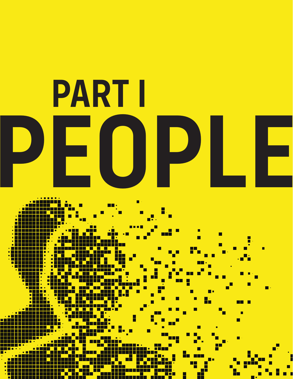

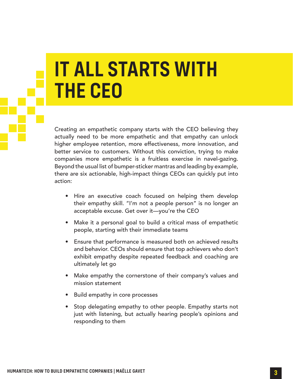# **IT ALL STARTS WITH THE CEO**

Creating an empathetic company starts with the CEO believing they actually need to be more empathetic and that empathy can unlock higher employee retention, more effectiveness, more innovation, and better service to customers. Without this conviction, trying to make companies more empathetic is a fruitless exercise in navel-gazing. Beyond the usual list of bumper-sticker mantras and leading by example, there are six actionable, high-impact things CEOs can quickly put into action:

- Hire an executive coach focused on helping them develop their empathy skill. "I'm not a people person" is no longer an acceptable excuse. Get over it—you're the CEO
- Make it a personal goal to build a critical mass of empathetic people, starting with their immediate teams
- Ensure that performance is measured both on achieved results and behavior. CEOs should ensure that top achievers who don't exhibit empathy despite repeated feedback and coaching are ultimately let go
- Make empathy the cornerstone of their company's values and mission statement
- Build empathy in core processes
- Stop delegating empathy to other people. Empathy starts not just with listening, but actually hearing people's opinions and responding to them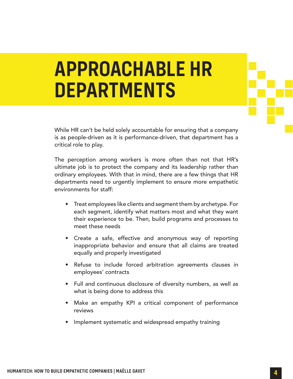# **APPROACHABLE HR DEPARTMENTS**

While HR can't be held solely accountable for ensuring that a company is as people-driven as it is performance-driven, that department has a critical role to play.

The perception among workers is more often than not that HR's ultimate job is to protect the company and its leadership rather than ordinary employees. With that in mind, there are a few things that HR departments need to urgently implement to ensure more empathetic environments for staff:

- Treat employees like clients and segment them by archetype. For each segment, identify what matters most and what they want their experience to be. Then, build programs and processes to meet these needs
- Create a safe, effective and anonymous way of reporting inappropriate behavior and ensure that all claims are treated equally and properly investigated
- Refuse to include forced arbitration agreements clauses in employees' contracts
- Full and continuous disclosure of diversity numbers, as well as what is being done to address this
- Make an empathy KPI a critical component of performance reviews
- Implement systematic and widespread empathy training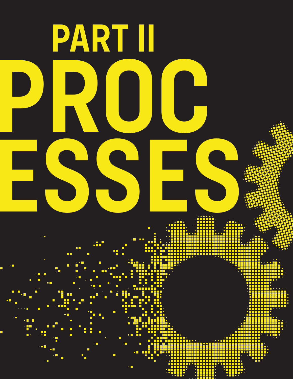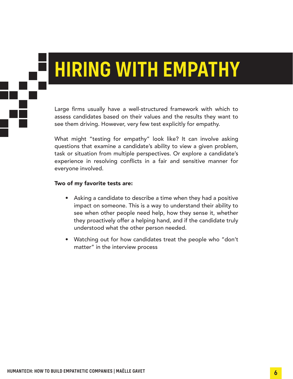# **HIRING WITH EMPATHY**

Large firms usually have a well-structured framework with which to assess candidates based on their values and the results they want to see them driving. However, very few test explicitly for empathy.

What might "testing for empathy" look like? It can involve asking questions that examine a candidate's ability to view a given problem, task or situation from multiple perspectives. Or explore a candidate's experience in resolving conflicts in a fair and sensitive manner for everyone involved.

### Two of my favorite tests are:

- Asking a candidate to describe a time when they had a positive impact on someone. This is a way to understand their ability to see when other people need help, how they sense it, whether they proactively offer a helping hand, and if the candidate truly understood what the other person needed.
- Watching out for how candidates treat the people who "don't matter" in the interview process

**HUMANTECH: HOW TO BUILD EMPATHETIC COMPANIES | MAËLLE GAVET 6**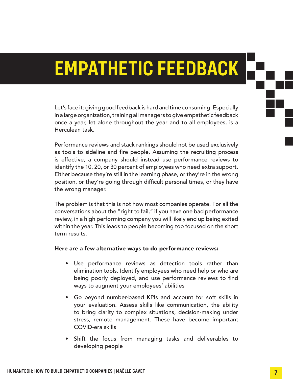### **EMPATHETIC FEEDBACK**

Let's face it: giving good feedback is hard and time consuming. Especially in a large organization, training all managers to give empathetic feedback once a year, let alone throughout the year and to all employees, is a Herculean task.

Performance reviews and stack rankings should not be used exclusively as tools to sideline and fire people. Assuming the recruiting process is effective, a company should instead use performance reviews to identify the 10, 20, or 30 percent of employees who need extra support. Either because they're still in the learning phase, or they're in the wrong position, or they're going through difficult personal times, or they have the wrong manager.

The problem is that this is not how most companies operate. For all the conversations about the "right to fail," if you have one bad performance review, in a high performing company you will likely end up being exited within the year. This leads to people becoming too focused on the short term results.

### Here are a few alternative ways to do performance reviews:

- Use performance reviews as detection tools rather than elimination tools. Identify employees who need help or who are being poorly deployed, and use performance reviews to find ways to augment your employees' abilities
- Go beyond number-based KPIs and account for soft skills in your evaluation. Assess skills like communication, the ability to bring clarity to complex situations, decision-making under stress, remote management. These have become important COVID-era skills
- Shift the focus from managing tasks and deliverables to developing people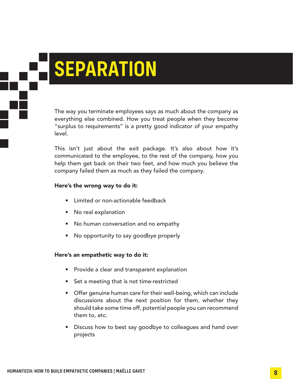# **SEPARATION**

The way you terminate employees says as much about the company as everything else combined. How you treat people when they become "surplus to requirements" is a pretty good indicator of your empathy level.

This isn't just about the exit package. It's also about how it's communicated to the employee, to the rest of the company, how you help them get back on their two feet, and how much you believe the company failed them as much as they failed the company.

### Here's the wrong way to do it:

- Limited or non-actionable feedback
- No real explanation
- No human conversation and no empathy
- No opportunity to say goodbye properly

### Here's an empathetic way to do it:

- Provide a clear and transparent explanation
- Set a meeting that is not time-restricted
- Offer genuine human care for their well-being, which can include discussions about the next position for them, whether they should take some time off, potential people you can recommend them to, etc.
- Discuss how to best say goodbye to colleagues and hand over projects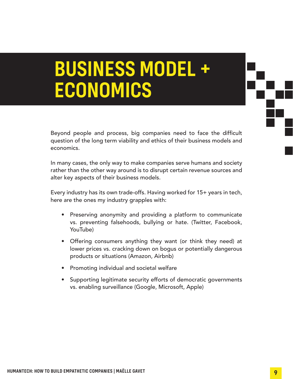### **BUSINESS MODEL + ECONOMICS**

Beyond people and process, big companies need to face the difficult question of the long term viability and ethics of their business models and economics.

In many cases, the only way to make companies serve humans and society rather than the other way around is to disrupt certain revenue sources and alter key aspects of their business models.

Every industry has its own trade-offs. Having worked for 15+ years in tech, here are the ones my industry grapples with:

- Preserving anonymity and providing a platform to communicate vs. preventing falsehoods, bullying or hate. (Twitter, Facebook, YouTube)
- Offering consumers anything they want (or think they need) at lower prices vs. cracking down on bogus or potentially dangerous products or situations (Amazon, Airbnb)
- Promoting individual and societal welfare
- Supporting legitimate security efforts of democratic governments vs. enabling surveillance (Google, Microsoft, Apple)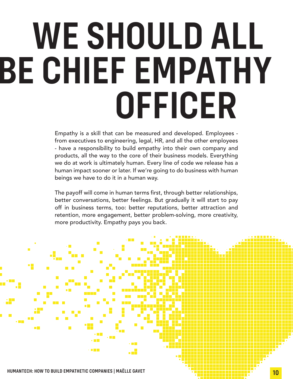# **WE SHOULD ALL BE CHIEF EMPATHY OFFICER**

Empathy is a skill that can be measured and developed. Employees from executives to engineering, legal, HR, and all the other employees - have a responsibility to build empathy into their own company and products, all the way to the core of their business models. Everything we do at work is ultimately human. Every line of code we release has a human impact sooner or later. If we're going to do business with human beings we have to do it in a human way.

The payoff will come in human terms first, through better relationships, better conversations, better feelings. But gradually it will start to pay off in business terms, too: better reputations, better attraction and retention, more engagement, better problem-solving, more creativity, more productivity. Empathy pays you back.